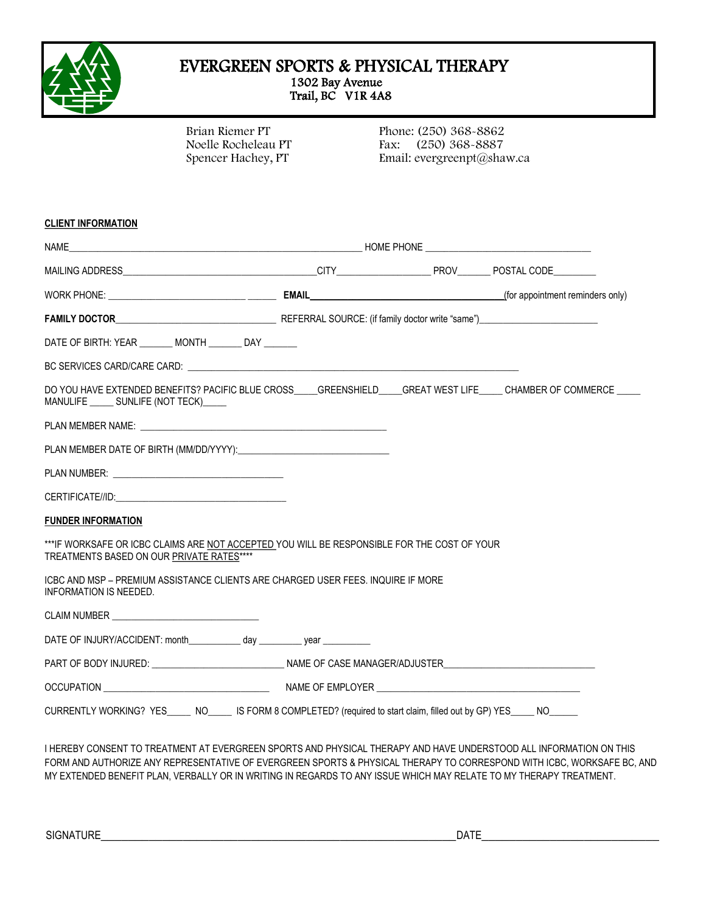

#### EVERGREEN SPORTS & PHYSICAL THERAPY 1302 Bay Avenue Trail, BC V1R 4A8

Brian Riemer PT Noelle Rocheleau PT Spencer Hachey, PT

Phone: (250) 368-8862 Fax: (250) 368-8887 Email: evergreenpt@shaw.ca

#### **CLIENT INFORMATION**

| WORK PHONE: (for appointment reminders only)                                                                                                 |  |  |  |
|----------------------------------------------------------------------------------------------------------------------------------------------|--|--|--|
|                                                                                                                                              |  |  |  |
| DATE OF BIRTH: YEAR MONTH DAY                                                                                                                |  |  |  |
|                                                                                                                                              |  |  |  |
| DO YOU HAVE EXTENDED BENEFITS? PACIFIC BLUE CROSS GREENSHIELD GREAT WEST LIFE CHAMBER OF COMMERCE<br>MANULIFE ______ SUNLIFE (NOT TECK)_____ |  |  |  |
|                                                                                                                                              |  |  |  |
|                                                                                                                                              |  |  |  |
|                                                                                                                                              |  |  |  |
|                                                                                                                                              |  |  |  |
| <b>FUNDER INFORMATION</b>                                                                                                                    |  |  |  |
| ***IF WORKSAFE OR ICBC CLAIMS ARE NOT ACCEPTED YOU WILL BE RESPONSIBLE FOR THE COST OF YOUR<br>TREATMENTS BASED ON OUR PRIVATE RATES****     |  |  |  |
| ICBC AND MSP – PREMIUM ASSISTANCE CLIENTS ARE CHARGED USER FEES. INQUIRE IF MORE<br><b>INFORMATION IS NEEDED.</b>                            |  |  |  |
|                                                                                                                                              |  |  |  |
| DATE OF INJURY/ACCIDENT: month____________ day __________ year __________                                                                    |  |  |  |
| PART OF BODY INJURED: ______________________________NAME OF CASE MANAGER/ADJUSTER___________________                                         |  |  |  |
|                                                                                                                                              |  |  |  |

I HEREBY CONSENT TO TREATMENT AT EVERGREEN SPORTS AND PHYSICAL THERAPY AND HAVE UNDERSTOOD ALL INFORMATION ON THIS FORM AND AUTHORIZE ANY REPRESENTATIVE OF EVERGREEN SPORTS & PHYSICAL THERAPY TO CORRESPOND WITH ICBC, WORKSAFE BC, AND MY EXTENDED BENEFIT PLAN, VERBALLY OR IN WRITING IN REGARDS TO ANY ISSUE WHICH MAY RELATE TO MY THERAPY TREATMENT.

SIGNATURE\_\_\_\_\_\_\_\_\_\_\_\_\_\_\_\_\_\_\_\_\_\_\_\_\_\_\_\_\_\_\_\_\_\_\_\_\_\_\_\_\_\_\_\_\_\_\_\_\_\_\_\_DATE\_\_\_\_\_\_\_\_\_\_\_\_\_\_\_\_\_\_\_\_\_\_\_\_\_\_